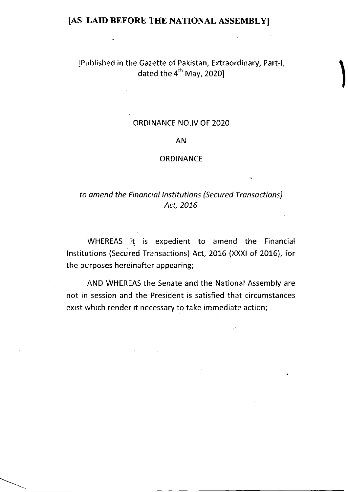IPublished in the Gazette of Pakistan, Extraordinary, Part-1, dated the  $4^{th}$  May, 2020]

## ORDINANCE NO.IV OF 2O2O

## AN

## ORDINANCE

# to amend the Financial Institutions (Secured Transactions) Act, 2016

WHEREAS it is expedient to amend the Financial lnstitutions (Secured Transactions) Act, 2016 (XXXI of 2015), for the purposes hereinafter appearing;

AND WHEREAS the Senate and the National Assembly are not in session and the President is satisfied that circumstances exist which render it necessary to take immediate action;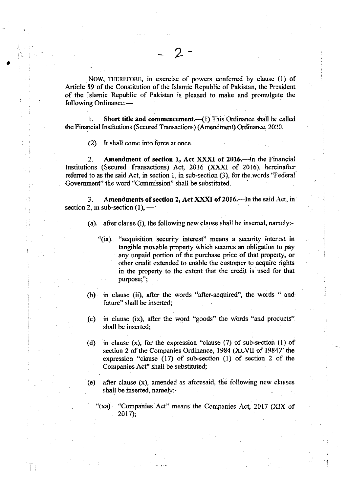NOW, THEREFORE, in exercise of powers conferred by clause (1) of Article 89 of the Constitution of the Islamic Republic of Pakistan, the President of the Islamic Republic of Pakistan is pleased to make and promulgate the following Ordinance:-

2

1. Short title and commencement.  $(1)$  This Ordinance shall be called the Financial Institutions (Secured Transactions) (Amendment) Ordinance, 2020.

(2) It shall come into force at once.

o

2. Amendment of section 1, Act XXXI of 2016.-In the Financial Institutions (Secured Transactions) Act, 2016 (XXXI of 2016), hereinafter referred to as the said Act, in section 1, in sub-section  $(3)$ , for the words "Federal" Govemment" the word "Commission" shall be substituted.

3. Amendments of section 2, Act XXXI of 2016.—In the said Act, in section 2, in sub-section  $(1)$ , –

- (a) after clause (i), the following new clause shall be inserted, narrely:-
	- "(ia) "acquisition security interest" means a security interest in tangible movable property which secures an obligation lo pay any unpaid portion of the purchase price of that property, or other credit extended to enable the customer to acquire rights in the property to the extent that the credit is used for that purpose;";
- (b) in clause (ii), after the words "after-acquired", the words " and future" shall be inserted;
- $(c)$  in clause (ix), after the word "goods" the words "and products" shall be inserted;
- (d) in clause  $(x)$ , for the expression "clause  $(7)$  of sub-section  $(1)$  of section 2 of the Companies Ordinance, 1984 (XLVII of 1984)" the expression "clause (17) of sub-section (1) of scction 2 of the Companies Act" shall be substituted;
- (e) after clause (x), amended as aforesaid, the following new clauses shall be inserted, namely:-
	- "(xa) "Companies Act" means the Companies Act, 2017 (XIX of 2017);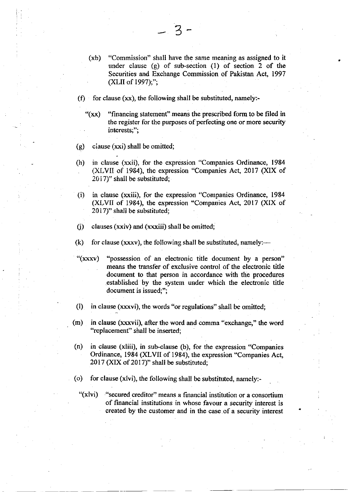- (xb) "Commission" shall have the same meaning as assigned to it under clause  $(g)$  of sub-section  $(1)$  of section 2 of the Securities and Exchange Commission of Pakistan Act, 1997 (XLII of  $1997$ );";
- (f) for clause  $(xx)$ , the following shall be substituted, namely:-
	- " $(xx)$  "financing statement" means the prescribed form to be filed in the register for the purposes of perfecting one or more security intcrests:";
- (g) ciause (xxi) shall be omitted;
- (h) in clause (xxii), for the expression "Companies Ordinance, <sup>1984</sup> (XLVIi of 1964), the expression "Conrpanies Act,2017 (XlX of  $2017$ " shall be substituted;
- (i) in clause (xxiii), for lhe expression "Companies Ordinance, <sup>1984</sup> (XLVII of 1984), the expression "Companies Act, 2017 (XIX of 2017)" shall be substituted;
- $(i)$  clauses (xxiv) and (xxxiii) shall be omitted;
- (k) for clause (xxxv), the following shall be substituted, namely:--
- "(xxxv) "possession of an electronic title document by a person" means the transfer of exclusive control of the electronic title document to that person in accordance with the procedures ,established by the system under which the electronic title document is issued;";
- 0) in clause (xxxvi), the words "or regulations" shall be omitted;
- (m) in clause (xxxvii), after the word and comma "exchange," the word "replacement" shall be inserted;
- (n) in clause (xliii), in sub-clause (b), for the expression "Companies Ordinance, 1984 (XLVII of 1984), the expression "Companies Act, 2017 (XIXof 2017)" shall be substituted;
- (o) for clause (xlvi), the following shall be substituted, namely:-
	- "(xlvi) "secured creditor" means a financial institution or a consortium of financial institutions in whose favour a security interest is created by the customer and in the case.of a security interest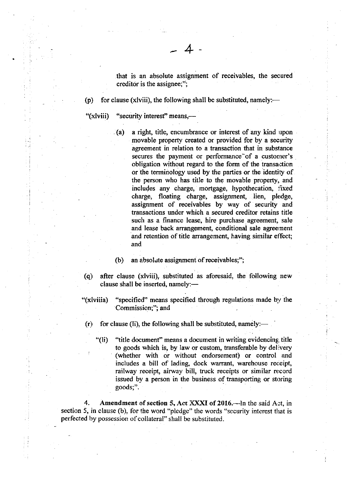that is an absolute assignment of receivables, the secured creditor is the assignee;";

(p) for clause (xlviii), the following shall be substituted, namely:—

+

"(xlviii) "security interest" means,—

(a) a right, title, encumbrance or interest of any kind upon movable property created or provided for by a security agreement in relation to a transaction that in substance secures the payment or performance of a customer's obligation without regard to the form of the transaction or the terminology used by the parties or the identity of the person who has title to the movable property, and includes any charge, mortgage, hypothecation, fixed charge, floating charge, assignment, lien, pledge, assignment of receivables by way of security and transactions under which a secured creditor retains title such as a finance lease, hire purchase agreement, sale and lease back arrangement, conditional sale agreernent and retention of title arrangement, having similar effect; and

(b) an absolute assignment of receivables;";

(q) after clause (xlviii), substituted as aforesaid, the following new clause shall be inserted, namely:-

"(xlviiia) "specified" means specified through regulations made by the Commission;"; and

 $(r)$  for clause (li), the following shall be substituted, namely:—

"(li) "title document" means a document in writing evidencing, title to goods which is, by law or custom, transferable by delivery (whether with or without endorsement) or control and includes a bill of lading, dock warrant, warehouse receipt, railway receipt, airway bill, truck receipts or similar record issued by a person in the business of transporting or storing goods;".

4. Amendment of section 5, Act  $\overline{XXXI}$  of 2016.—In the said Act, in section 5, in clause (b), for the word "pledge" the words "security interest that is perfected by possession of collateral" shall be substituted.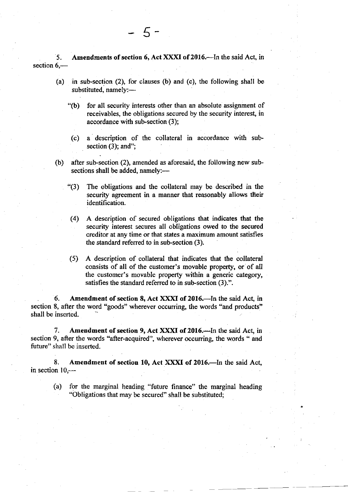5. Amendments of section 6, Act XXXI of 2016.—In the said Act, in section  $6$ ,-

- (a) in sub-section (2), for clauses (b) and (c), the following shall be substituted, namely:-
	- '(b) for all security interests other than an absolute assignment of receivables, the obligations secured by the security interest, in accordance with sub.section (3);
	- (c) a description of the collateral in accordance with subsection  $(3)$ ; and";
- (b) after sub-section  $(2)$ , amended as aforesaid, the following new subsections shall be added, namely:-
	- \*(3) The obligations and the collateral may be described in the security agreement in a manner that reasonably allows their identification.
	- (4) A description of secured obligations that indicates that the security interest secures all obligations owed to the secured creditor at any time or that states a maximum amount satisfies the standard referred to in sub-section (3).
	- (5) A description of collateral that indicates that the collateral consists of all of the customer's movable property, or of all the customer's movable property within a generic category, satisfies the standard referred to in sub-section  $(3)$ .".

6. Amendment of section 8, Act XXXI of 2016.-In the said Act, in section 8, after the word "goods" wherever occurring, the words "and products" shall be inserted.

7. Amendment of section 9, Act XXXI of 2016.—In the said Act, in section 9, after the words "after-acquired", wherever occurring, the words " and future" shall be inserted.

8. Amendment of section 10, Act XXXI of 2016.-In the said Act, in section  $10$ , $-$ 

(a) for the marginal heading "future finance" the marginal heading "Obligations that may be secured" shall be substituted;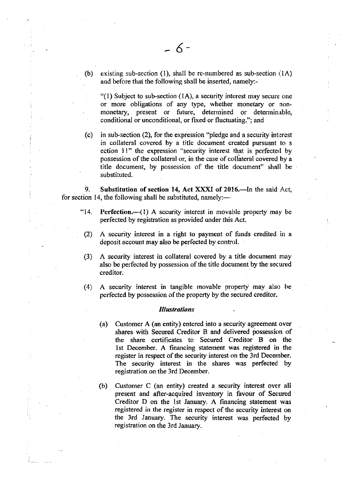(b) existing sub-section (1), shall be re-numbered as sub-section  $(1A)$ and before that the following shall be inserted, namely:-

"(1) Subject to sub-section  $(1A)$ , a security interest may secure one or more obligations of any type, whether monetary or nonmonetary, present or future, determined or determinable, conditional or unconditional, or fxed or fluctuating."; and

(c) in sub-section (2), for the expression "pledge and a security interest in collateral covered by a title document created pursuant to <sup>s</sup> ection 11" the expression "security interest that is perfected by possession of the collateral or, in the case of collateral covered by a title docurnent, by possession of the title document" shall be substituted.

9. Substitution of section 14, Act XXXI of 2016.—In the said Act, for section 14, the following shall be substituted, namely:—

- "14. Perfection. $-1$ ) A security interest in movable property may be perfected by registration as provided under this Act.
- (2) A security interest in a right to payment of funds credited in <sup>a</sup> deposit account may also be perfected by control.
- (3) A security interest iu collateral covered by a title document may also be perfected by possession of the title document by the secured creditor.
- (4) A security interest in tangible movable property may also be perfected by possession of the property by the secured creditor.

#### **Illustrations**

- (a) Customer A (an entity) entered into a security agreement over shares with Secured Creditor B and delivered possession of the share certificates to Secured Creditor B on the <sup>I</sup>st December. A financing statement was registered in the register in respect of the security interest on the 3rd Decernber. The security interest in the shares was perfected by registration on the 3rd December.
- (b) Customer C (an entity) created a security interest over all present and after-acquired inventory in favour of Secured Creditor D on the lst January. A financing statement was registered in the register in respect of the security interest on the 3rd January. The security interest was perfected by registration on the 3rd January.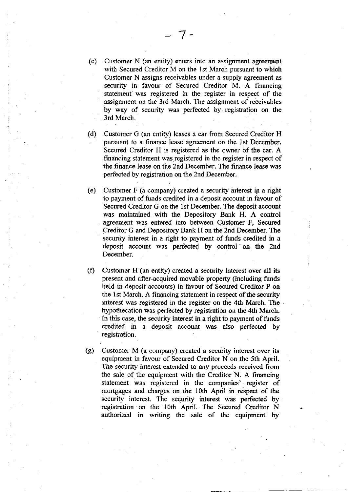- (c) Customer N (an entity) enters into an assignment agreement with Secured Creditor M on the lst March pursuant to which Customer N assigns receivables under a supply agreement as security in favour of Secured Creditor M. A financing statement was registered in the register in respect of the assignment on the 3rd March. The assignment of receivables by way of security was perfected by registration on the 3rd March.
- (d) Customer G (an entity) leases a car from Secured Creditor H pursuant to a finance lease agreement on the lst December. Secured Creditor H is registered as the owner of the car. A financing statement was registered in the register in respect of the finance lease on the 2nd December. The finance lease was perfected by registration on the 2nd Decernber.
- (o) Customer F (a company) created a security interest ip a right to payment of funds credited in a deposit account in favour of Secured Creditor G on the lst December. The deposit account was maintained with the Depository Bank H. A control agreement was entered into between Customer F, Secured Creditor G and Depository Bank H on the 2nd December. The security interest in a right to payment of funds credited in a deposit account was perfected by control on the 2nd December.
- $(f)$  Customer H (an entity) created a security interest over all its present and after-acquired movable property (including funds held in deposit accounts) in favour of Secured Creditor P on the lst March. A financing statement in respect of the security interest was registered in the register on the 4th March. The hypothecation was perfected by registration on the 4th March. In this case, the security interest in a right to payment of funds credited in a deposit account was also perfected by registration.
- (g) Customer M (a company) created a secuiity interest over its equipment in favour of Secured Creditor N on the 5th April. The security interest extended to any proceeds received from the sale of the equipment with the Creditor N. A financing statement was registered in the companies' register of mortgages and charges on the 10th April in respect of the security interest. The security interest was perfected by registration on the 10th April. The Secured Creditor N authorized in writing the sale of the equipment by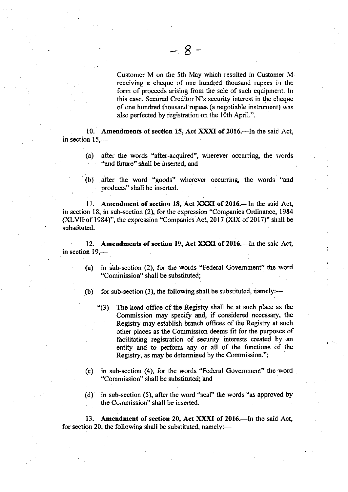Customer M on the 5th May which resulted in Customer Mreceiving a cheque of one hundred thousand rupees in the form of proceeds arising from the sale of such equipment. In this case, Secured Creditor N's security interest in the cheque of one hundred thousand rupees (a negotiable instrument) was also perfected by registration on the 10th April.".

10. Amendments of section 15, Act XXXI of 2016.-In the said Act, in section  $15$ , $-$ 

- (a) after the words "after-acquired", wherever occurring, the words "and future" shall be inserted; and
- (b) after the word "goods" wherever occurring, the words "and products".shall be inserted.

11. Amendment of section 18, Act XXXI of 2016.-In the said Act, in section 18, in sub-section (2), for the expression "Companies Ordinance, 1984 (XLVII of 1984)", the expression "Companies Act, 2017 (XIX of 2017)" shall be substituted.

12. Amendments of section 19, Act XXXI of 2016.—In the said Act, in section  $19$ , $-$ 

- (a) in sub-section  $(2)$ , for the words "Federal Government" the word "Commission" shall be substituted;
- (b) for sub-section (3), the following shall be substituted, namely:- $-$ 
	- "(3) The head office of the Registry shall be at such place as the Commission may specify and, if considered necessary, the Registry may establish branch offices of the Registry at such other places as the Commission deems fit for the purposes of facilitating registration of security interests created by an entity and to perform any or all of the functions of the Registry, as may be determined by the Commission.";
- (c) in sub-section (4), for the words "Federal Govemment" the word "Commission" shall be substituted; and
- (d) in sub-section (5), after the word "seal" the words "as approved by the Commission" shall be inserted.

13. Amendment of section 20, Act XXXI of 2016.—In the said Act, for section 20, the following shall be substituted, namely:—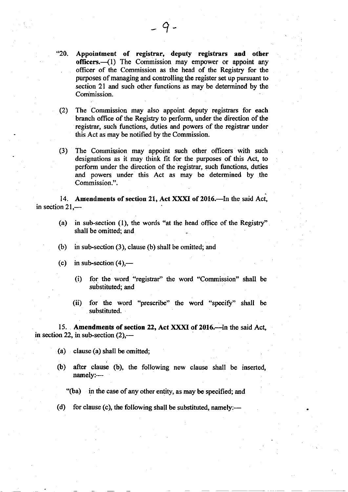$-9-$ 

(2) The Commission may also appoint deputy registrars for each branch office of the Regisry to perform, under the direction of the registrar, such functions, duties and powers of the registrar under this Act as may be notified by the Commission.

(3) The Conrmigsion may appoint such other officers with such designations as it may think fit for the purposes of this Act, to perform under the direction of the regisrar, such functions, duties and powers under this Act as may be determined by the Commission.".

14. Amendments of section 21, Act XXXI of 2016.—In the said Act, in section  $21$  —

(a) in sub-section  $(1)$ , the words "at the head office of the Registry" shall be omitted; and

- (b) in sub-section (3), clause (b) shall be omitted; and
- (c) in sub-section  $(4)$ ,—
	- (i) for the word "registrar" the word "Commission" shall be substituted; and
	- (ii) for the word "prescribe" the word "specify" shall be substituted.

15. Amendments of section 22, Act XXXI of 2016.-In the said Act, in section 22, in sub-section  $(2)$ ,—

(a) clause (a) shall be omitted;

(b) after clause (b), the following new clause shall be inserted, namely:-

"(ba) in the case of any other entity, as may be specified; and

(d) for clause (c), the following shall be substituted, namely:—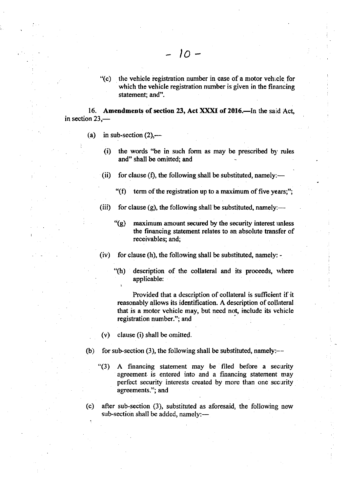" $(c)$  the vehicle registration number in case of a motor vehicle for which the vehicle registration number is given in the financing statement; and".

16. Amendments of section 23, Act XXXI of 2016.-In the said Act, in section 23,-

 $10 -$ 

- (a) in sub-section  $(2)$ ,—
	- $(i)$  the words "be in such form as may be prescribed by rules and" shall be omitted; and
	- (ii) for clause (f), the following shall be substituted, namely:—
		- "(f) term of the registration up to a maximum of five years;";
	- (iii) for clause (g), the following shall be substituted, namely:—
		- $\mathcal{L}(g)$  maximum amount secured by the security interest unless the financing statement relates to an absolute transfer of receivables; and;

(iv) for clause (h), the following shall be substituted, namely: -

"(h) description of the collateral and its proceeds, rvhere applicable:

Provided that a description of collateral is sufficient if it reasonably allows its identification. A description of collateral that is a motor vehicle may, but need not, include its vehicle registration number."; and

 $(v)$  clause (i) shall be omitted.

- (b) for sub-section (3), the following shall be substituted, namely:--
	- "(3) A financing statement may be filed before a security agreement is entered into and a financing statement may perfect security interests created by more than one security agreements."; and
- (c) after sub-section (3), subitituted as aforesaid, the following new sub-section shall be added, namely:-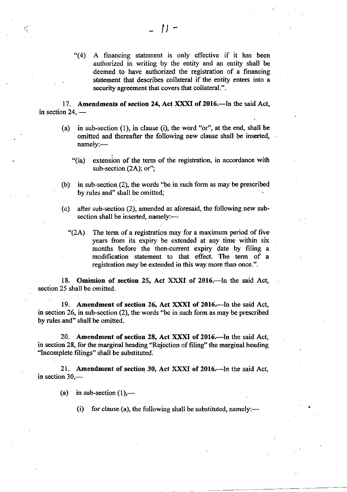"(4) A financing statement is only effective if it has been authorized in writing by the entity and an entity shall be deemed to have authorized the registration of a financing statement that describes collateral if the entity enters into a security agreement that covers that collateral.".

 $\parallel$   $\parallel$   $-$ 

17. Amendments of section 24, Act XXXI of 2016.-In the said Act, in section 24, -

- (a) in sub-section (1), in clause (i), the word "or", at the end, shall be omiffed and thereafter the following new clause shall be inserted, namely:-
	- '(ia) extension of the term of the registration, in acoordance with sub-section  $(2A)$ ; or";
- (b) in sub-section (2), the words "be in such form as may be prescribed by rules and" shall be omitted;
- (c) after sub-section (2), amended as aforesaid, the following new subsection shall be inserted, namely:-

 $*(2A)$  The term of a registration may for a maximum period of five years from its expiry be extended at any time within six months before the then-current expiry date by filing <sup>a</sup> modification statement to that effect. The term of <sup>a</sup> registration may be extended in this way more than once.".

18. Omission of section 25, Act XXXI of 2016.-In the said Act, section 25 shall be omitted.

19. Amendment of section 26, Act XXXI of 2016.-In the said Act, in section 26, in sub-section  $(2)$ , the words "be in such form as may be prescribed by rules and" shall be omitted.

20. Amendment of section 28, Act XXXI of 2016.--In the said Act, in section 28, for the marginal heading "Rejection of filing" the marginal heading "Incomplete filings" shall be substituted.

21. Amendment of section 30, Act XXXI of 2016.-In the said Act, in section  $30$ ,-

(a) in sub-section  $(1)$ ,—

(i) for clause (a), the following shall be substituted, namely: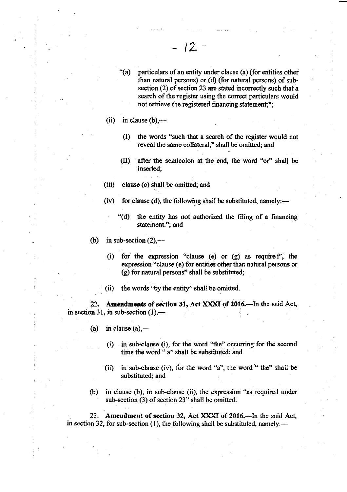- "(a) particulars of an entity under clause (a) (for entities other than natural persons) or (d) (for nafural persons) of subsection  $(2)$  of section 23 are stated incorrectly such that a search of the register using the correct particulars would not retrieve the registered financing statement;";
- (ii) in clause  $(b)$ ,—
	- (I) the words "such that a search of the register would not reveal the same collateral," shall be omitted; and
	- (II) after the semicolon at the end, the word "or" shall be inserted;
- $(iii)$ clause (c) shall be omitted; and
- (iv) for clause (d), the following shall be substituted, namely: $-$ 
	- '(d) the entity has hot authorized the filing of a financing statement."; and
- (b) in sub-section  $(2)$ ,---
	- (i) for the expression "clause (e) or (g) as requirol", the expression "clause (e) for entities other than natural persons or (g) for natural persons" shall be substituted;
	- (ii) the words "by the entity" shall be omitted.

22. Amendments of section 31, Act XXXI of 2016.-In the said Act, in section 31, in sub-section  $(1)$ ,—

- (a) in clause  $(a)$ 
	- (i) in sub-clause (i), for the word "the" occurring for the second time the word " a" shall be substituted; and
	- (ii) in sub-clause (iv), for the word "a", the word " the" shall be substituted; and
- (b) in clause (b), in sub-clause (ii), the expression "as required under sub-section (3) of section 23" shall be omitted.

23. Amendment of section 32, Act XXXI of 2016.—In the said Act, in section 32, for sub-section (1), the following shall be substituted, namely:-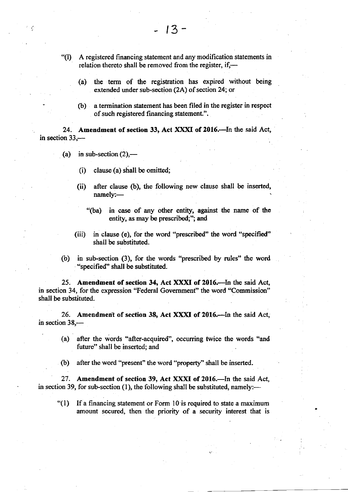- "(D <sup>A</sup>registered financing statement and any modification statements in relation thereto shall be removed from the register, if,---
	- (a) the term of the registration has expired without being extended under sub-section (2A) of section 24; or
	- (b) a termination statement has been filed in the register in respect of such registered financing statement.".

24. Amendment of section 33, Act XXXI of 2016.-In the said Act, in section 33,-

- (a) in sub-section  $(2)$ ,—
	- (i) clause (a) shall be omitted;
	- (ii) after clause (b), the following new clause shall be inserted, namely:-
		- "(ba) in case of any other entity, against the name of the entity, as may be prescribed;"; and
	- (iii) in clause (e), for the word "prescribed" the word "specified" shall be substituted.
- (b) in sub-section (3), for the words "prescribed by rules" the word "specified" shall be substituted.

25. Amendment of section 34, Act XXXI of 2016. In the said Act, in section 34, for the expression "Federal Government" the word 'Commission" shall be substituted.

26. Amendment of section 38, Act XXXI of 2016.-In the said Act, in section 38,-

- (a) after the words "after-acquired", occurring twice the words "and future" shall be inserted; and
- (b) after the word "present" the word "property" shall be inserted.

27. Amendment of section 39, Act XXXI of 2016.-In the said Act, in section 39, for sub-section  $(1)$ , the following shall be substituted, namely:---

"(1) If a financing statement or Form l0 is required to state a maximum amount secured, then the priority of a security interest that is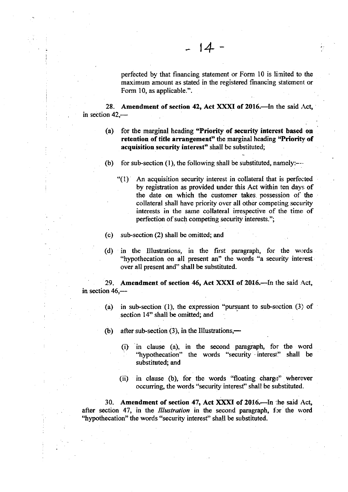perfected by that financing statement or Form 10 is limited to the maximum amount as stated in the registered financing statement or Form 10, as applicable.".

28. Amendment of section 42, Act XXXI of 2016. $\text{---}$ In the said Act, in section  $42,$ —

 $-14-$ 

- (a) for the marginal heading "Priority of security interest based on retention of title arrangement" the marginal heading "Priority of acquisition security interest" shall be substituted;
- (b) for sub-section  $(1)$ , the following shall be substituted, namely:---
	- $(1)$  An acquisition security interest in collateral that is perfected by registration as provided under this Act within ten days of the date on which the customer takes. possession of the collateral shall have priority over all other competing security interests in the same collateral irrespective of the time of perfection of such competing security interests.";
- (c) sub-section (2) shall be omitted; and
- (d) in the Illustrations, in the first paragraph, for the words "hypothecation on all present an" the words "a security interest over all present and" shall be substituted.

29. Amendment of section 46, Act XXXI of 2016.-In the said Act, in section 46,-

- (a) in sub-section (1), the expression "pursuant to sub-section (3) of section 14" shall be omitted; and
- (b) after sub-section  $(3)$ , in the Illustrations,—
	- (i) in clause (a), in the second paragraph, for the word<br>"hypothecation" the words "security interest" shall be substituted; and "hypothecation" the words "security interest" shall be
	- (ii) in clause (b), for the words "floating charge" wherever occurring, the words "security interest" shall be substituted.

30. Amendment of section 47, Act XXXI of 2016.-In the said Act, after section 47, in the *Illustration* in the second paragraph, for the word "hypothecation" the words "security interest" shall be substituted.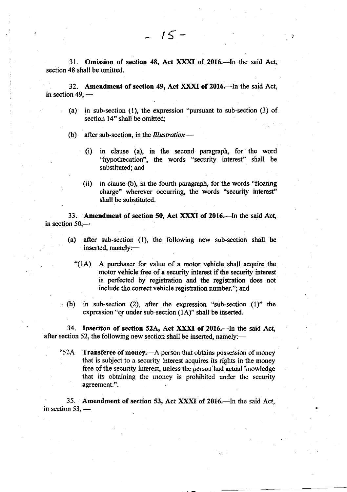31. Omission of section 48, Act XXXI of 2016.-In the said Act. section 48 shall be omitted.

 $-15 -$ 

,

32. Amendment of section 49, Act XXXI of 2016.-In the said Act, in section 49, -

- (a) in sub-section (l), the expression "pursuant to sub-section (3) of section 14" shall be omitted:
- (b) after sub-section, in the *Illustration* -
	- (i) in clause (a), in the second paragraph, for the word "hypothecation", the words "security interest" shall be substituted; and
	- (ii) in clause (b), in the fourth paragraph, for the words "floating charge" wherever occurring, the words "security interest'' shall be substituted.

33. Amendment of section 50, Act XXXI of 2016.-In the said Act, in section  $50$ , $-$ 

(a) after sub-section  $(1)$ , the following new sub-section shall be inserted, namely:-

"(1A) A purchaser for value of a motor vehicle shall acquire the motor vehicle free of a security interest if the security interest is perfected by registration and the registration does not include the correct vehicle registration number."; and

(b) in sub-section (2), after the expression "sub-section (l)" the expression "or under sub-section  $(1A)$ " shall be inserted.

34. Insertion of section 52A, Act XXXI of 2016. In the said Act, after section 52, the following new section shall be inserted, namely:-

"52A Transferee of money.—A person that obtains possession of money that is subject to a security interest acquires its rights in the money free of the security interest, unless the person had actual knowledge that its obtaining the money is prohibited under the security agreement.".

35. Amendment of section 53, Act XXXI of 2016.-In the said Act, in section 53, -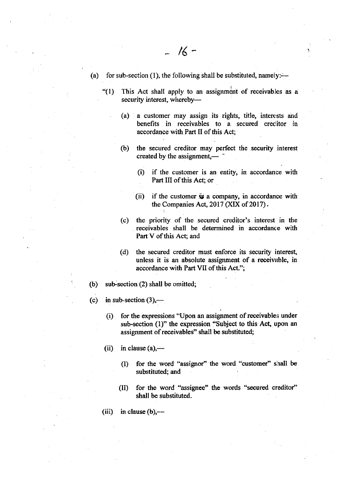- (a) for sub-section (1), the following shall be substituted, namely:-
	- " $(1)$  This Act shall apply to an assignment of receivables as a security interest, whereby-
		- (a) a customer may assign its rights, title, interests and benefits in receivables to a secured crecitor in accordance with Part II of this Act;

')

- (b) the secured creditor may perfect the security interest created by the assignment,— $\overline{\phantom{a}}$ 
	- (l) if the customer is an entity, in accordance with Part III of this Act; or
	- (ii) if the customer  $\dot{\mathbf{y}}$  a company, in accordance with the Companies Act,  $2017$  (XIX of  $2017$ ).
- (c) the priority of the secured creditor's interest in the receivables shall be determined in accordance with Part V of this Act; and
- (d) the secured creditor must enforce its security interest, unless it is an absolute assignment of a receivable, in accordance with Part VII of this Act.";

(b) sub-section  $(2)$  shall be omitted;

- (c) in sub-section  $(3)$ ,—
	- (i) for the expressions "Upon an assignment of receivables under sub-section (1)" the expression "Subject to this Act, upon an assignment of receivables" shall be substituted;
	- $(ii)$  in clause  $(a)$ ,—
		- (I) for the word "assignor" the word "customer" shall be substituted; and
		- (D for the word "assignee" the words "secured creditor" shall be substituted.
	- (iii) in clause  $(b)$ ,---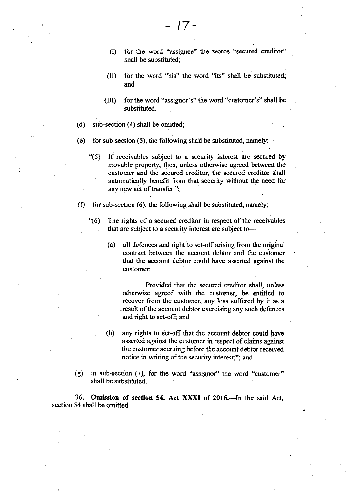(I) for the word "assignee" the words "secured creditof shall be substituted;

 $-17-$ 

- (II) for the word "his" the word "its" shall be substituted; and
- (IID for the word "assignor's" the word "customer's" shall be substituted.
- (d) sub-section  $(4)$  shall be omitted;
- (e) for sub-section (5), the following shall be substituted, namely:---
	- '(5) If receivables subject to a security interest are secured by movable propeny, then, unless otherwise agreed between the customer and the secured creditor, the secured creditor shall automatically benefit from that security without the need for any new act of transfer.";
- (f) for sub-section (6), the following shall be substituted, namely;—
	- "(6) The rights of a secured creditor in respect of the receivables that are subject to a security interest are subject to-
		- (a) all defences and right to set-off arising from the original contract between the account debtor and the customer that the account debtor could have asserted against the customer:

Provided that the secured creditor shall, unless otherwise agreed with the customer, be entitled to recover from the customer, any loss suffered by it as a result of the account debtor exercising any such defences and right to set-off; and

- (b) any rights to set-off that the account debtor could have asserted against the customer in respect of claims against the customer accruing before the account debtor received notice in writing of the security interest;"; and
- $(g)$  in sub-section  $(7)$ , for the word "assignor" the word "customer" shall be substituted.

36. Omission of section 54, Act XXXI of 2016.—In the said Act, section 54 shall be omitted.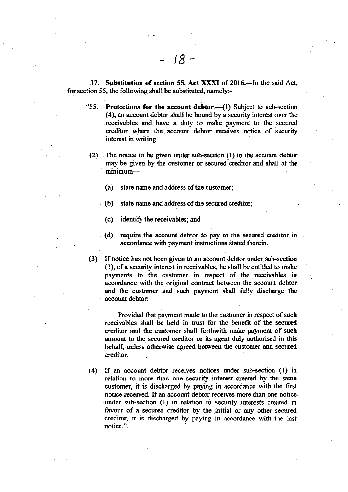37. Substitution of section 55, Act XXXI of 2016.—In the said Act, for section 55, the following shall be substituted, namely:-

 $18 -$ 

- "55. Protections for the account debtor. $-(1)$  Subject to sub-section (4), an account debtor shall be bound by a security interest oyer the receivables and have a duty to make payment to the secured creditor where the account debtor receives notice of security interest in writing.
- (2) The notice to be given under sub-section (l) to the account debtor may be given by the customer or secured creditor and shall at the minimum-
	- (a) state name and address of the customer;
	- (b) state name and address of the secured creditor;
	- $(c)$  identify the receivables; and
	- (d) require the account debtor to pay to the secured creditor in accordance with payment instructions stated therein.
- (3) If notice has not been given to an account debtor under sub-section  $(1)$ , of a security interest in receivables, he shall be entitled to make payments to the customer in respect of the receivables in accordance with the original contract between the account debtor and the customer and such payment shall fully discharge the account debtor:

Provided that payment made to the customer in respect of such receivables shall be held in trust for the benefit of the secured creditor and the customer shall forthwith make payment of such amount to the secured creditor or its agent duly authorised in this behalf, unless otherwise agreed between the customer and secured creditor.

(.4) If an account debtor receives notices under sub-section (l) in relation to more than one security interest created by the same customer, it is discharged by paying in accordance with the first notice received. If an account debtor receives more than one notice under sub-section (l) in relation to security interests created in favour of a secured creditor by the initial or any other secured creditor, it is discharged by paying in accordance with the last notice.".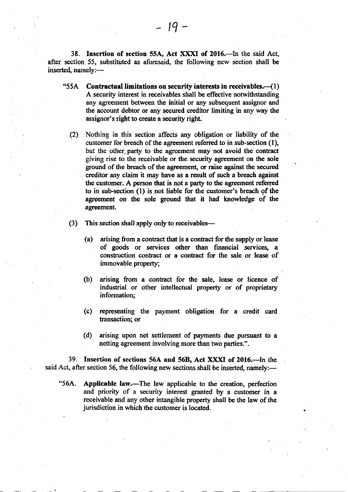38. Insertion of section 55A, Act XXXI of 2016.-In the said Act, after section 55, substituted as aforesaid, the following new section shall be inserted, namely:-

- "55A Contractual limitations on security interests in receivables. $-$ (1) A security interest in receivables shall be effective notwithstanding any agreement between the initial or any subsequent assignor and the account debtor or any secured creditor limiting in any way the assignor's right to create a security right.
	- (2) Nothing in this section affects any obligation or liability of the customer for breach of the agreement referred to in sub-section (1), but the other-party to the agreement may not avoid the contract giving rise to the receivable or the security agreement on the sole ground of the breach of the agreement, or raise against the secured . creditor any claim it may have as a result of such a breach against the customer. A person that is not a party to the agreement referred to in sub-section (1) is not liable for the customer's breach of the agreement on the sole ground that it had knowledge of the agreement.
	- (3) This section shall apply only to receivables—
		- (a) arising from a contract that is a contract for the supply or lease of goods or services other than financial services, <sup>a</sup> construction contract or a contract for the sale or lease of immovable property;
		- (b) arising from a contract for the sale, lease or licence of industrial or other intellectual property or of proprietary information;
		- (c) representing the payment obligetion for a credit card transaction; or
		- (d) arising upon net settlement of payments due pursuant to <sup>a</sup> netting agreement involving more than two parties.".

39. fnsertion of sections 56A and 568, Act XXXI of 2016.-In the said Act, after section 56, the following new sections shall be inserted, namely:-

'56A. Applicable law.-The law applicable to the creation, perfection and priority of a security interest granted by a customer in <sup>a</sup> receivable and any other intangible property shall be the law of the jurisdiction in which the customer is located.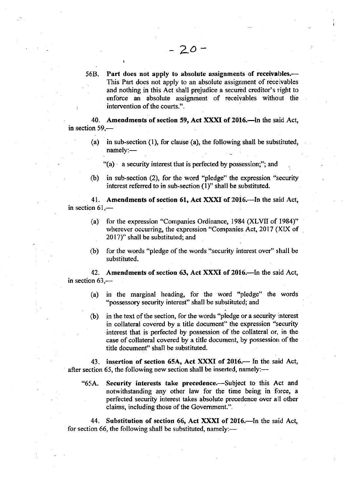56B. Part does not apply to absolute assignments of receivables.-This Part does not apply to an absolute assignment of receivables and nothing in rhis Act shall prejudice a secured creditor's right to enforce an absolute assignment of receivables without the intervention of the courts.".

40. Amendments of section 59, Act XXXI of 2016.-In the said Act, in section  $59$ —

(a) in sub-section (1), for clause (a), the following shall be substituted,  $nameiv:$ 

"(a) a security interest that is perfected by possession;"; and

(b) in sub-section (2), for the word "pledge" the expression "security interest referred to in sub-section (l)" shall be substituted.

41. Amendments of section 61, Act XXXI of 2016.-In the said Act, in section  $61,$ --

- (a) for the expression "Companies Ordinance, 1984 (XLVII of 1984)" wherever occurring, the expression "Companies Act, 2017 (XIX of 2017)" shall be substituted; and
- $(b)$  for the words "pledge of the words "security interest over" shall be substituted.

42. Amendments of section 63, Act XXXI of 2016.—In the said Act, in section  $63$ ,-

- (a) in the marginal heading, for the word "pledge" the words "possessory security interest" shall be substituted; and
- $(b)$  in the text of the section, for the words "pledge or a security interest in collateral covered by a title document" the expression "security interest that is perfected by possession of the collateral or. in the case of collateral covered by a title document, by possession of the title document' shall be substituted.

43. insertion of section 65A, Act XXXI of 2016.— In the said Act, after section 65, the following new section shall be inserted, namely:—

"65A. Security interests take precedence.-Subject to this Act and notwithstanding any other law for the time being in force, a perfected security interest takes absolute precedence over all other claims, including those of the Government.".

44. Substitution of section 66, Act XXXI of 2016.-In the said Act, for section 66, the following shall be substituted, namely:—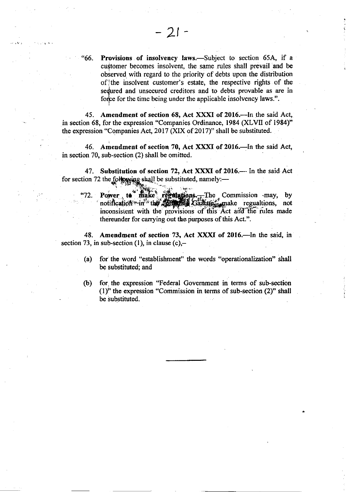"66. Provisions of insolvency laws.—Subject to section 65A, if a customer becomes insolvent, the same rules shall prevail and be observed with regard to the priority of debts upon the distribution of the insolvent customer's estate, the respective rights of the sedured and unsecured creditors and to debts provable as are in force for the time being under the applicable insolvency laws.".

45. Amendment of section 68, Act XXXI of 2016.-In the said Act, in section 68, for the expression "Companies Ordinance, 1984 (XLVII of 1984)" the expression "Companies Act, 2017 (XIX of 2017)" shall be substituted.

46. Amendment of section 70, Act XXXI of 2016.-In the said Act, in section 70, sub-section (2) shall be omitted.

47. Substitution of section 72, Act XXXI of 2016.- In the said Act for section 72 the following shall be substituted, namely:—

"72. Power to make regulations. The Commission may, by notifica**t**i to make regulations. The Commission may, by<br>on in the **Additional Gazette** make regualtions, not inconsistent with the provisions of this Act and the rules made thereunder for carrying out the purposes of this Act.".

48. Amendment of section 73, Act XXXI of 2016.-In the said, in section 73, in sub-section (1), in clause  $(c)$ ,-

- (a) for the word "establishment" the words "operationalization" shall be substituted; and
- (b) for the expression "Federal Govemment in terms of sub-section  $(1)$ " the expression "Commission in terms of sub-section  $(2)$ " shall be substituted.